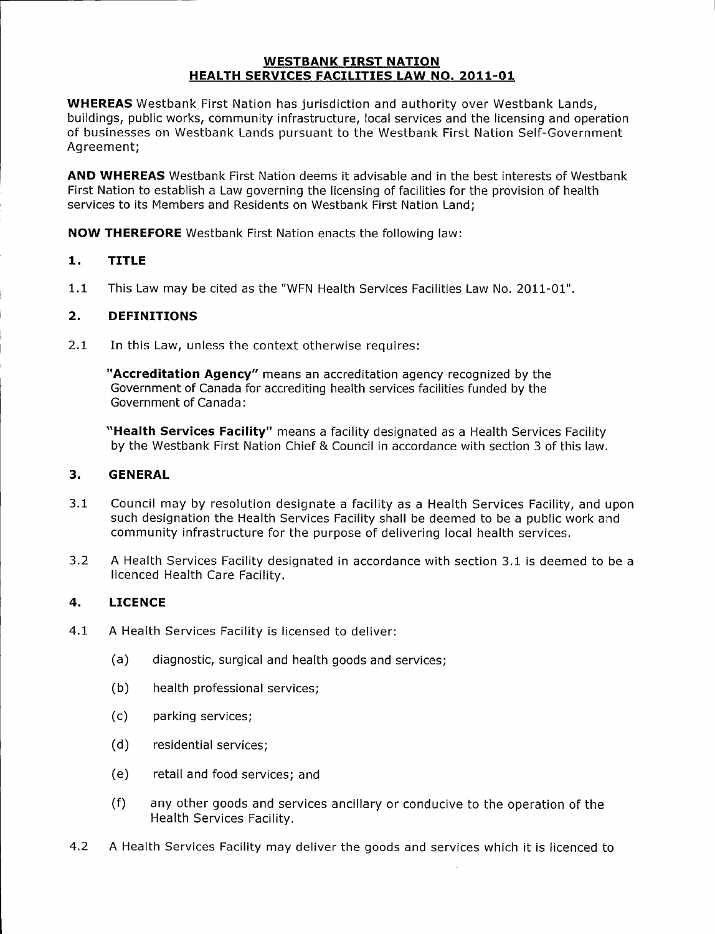#### WESTBANK FIRST NATION HEALTH SERVICES FACILITIES LAW NO. 2011-01

WHEREAS Westbank First Nation has jurisdiction and authority over Westbank Lands, buildings, public works, community infrastructure, local services and the licensing and operation of businesses on Westbank Lands pursuant to the Westbank First Nation Self-Government Agreement;

AND WHEREAS Westbank First Nation deems it advisable and in the best interests of Westbank First Nation to establish a Law governing the licensing of facilities for the provision of health services to its Members and Residents on Westbank First Nation Land;

NOW THEREFORE Westbank First Nation enacts the following law:

# 1. TITLE

1.1 This Law may be cited as the "WFN Health Services Facilities Law No. 2011-01".

### 2. DEFINITIONS

2.1 In this Law, unless the context otherwise requires:

"Accreditation Agency" means an accreditation agency recognized by the Government of Canada for accrediting health services facilities funded by the Government of Canada:

"Health Services Facility" means a facility designated as a Health Services Facility by the Westbank First Nation Chief & Council in accordance with section <sup>3</sup> of this law.

#### 3. GENERAL

- 3.1 Council may by resolution designate a facility as a Health Services Facility, and upon such designation the Health Services Facility shall be deemed to be a public work and community infrastructure for the purpose of delivering local health services.
- 3.2 A Health Services Facility designated in accordance with section 3.1 is deemed to be a licenced Health Care Facility.

## 4. LICENCE

- 4.1 A Health Services Facility is licensed to deliver:
	- a) diagnostic, surgical and health goods and services;
	- b) health professional services;
	- c) parking services;
	- d) residential services;
	- e) retail and food services; and
	- f) any other goods and services ancillary or conducive to the operation of the Health Services Facility.
- 4.2 A Health Services Facility may deliver the goods and services which it is licenced to